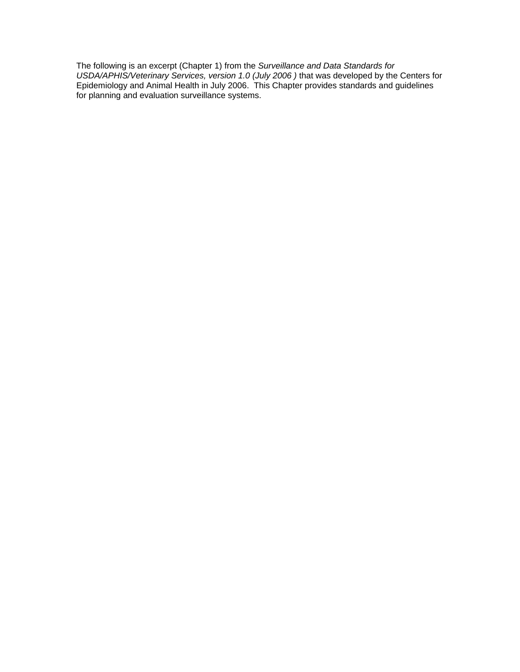The following is an excerpt (Chapter 1) from the *Surveillance and Data Standards for*  USDA/APHIS/Veterinary Services, version 1.0 (July 2006) that was developed by the Centers for Epidemiology and Animal Health in July 2006. This Chapter provides standards and guidelines for planning and evaluation surveillance systems.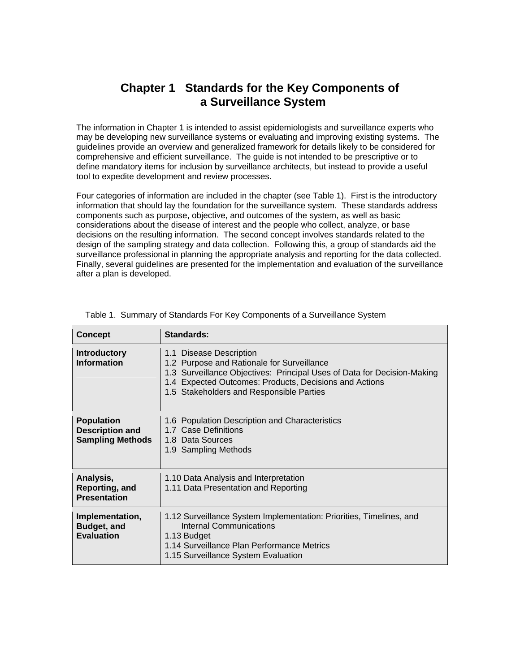# **Chapter 1 Standards for the Key Components of a Surveillance System**

The information in Chapter 1 is intended to assist epidemiologists and surveillance experts who may be developing new surveillance systems or evaluating and improving existing systems. The guidelines provide an overview and generalized framework for details likely to be considered for comprehensive and efficient surveillance. The guide is not intended to be prescriptive or to define mandatory items for inclusion by surveillance architects, but instead to provide a useful tool to expedite development and review processes.

Four categories of information are included in the chapter (see Table 1). First is the introductory information that should lay the foundation for the surveillance system. These standards address components such as purpose, objective, and outcomes of the system, as well as basic considerations about the disease of interest and the people who collect, analyze, or base decisions on the resulting information. The second concept involves standards related to the design of the sampling strategy and data collection. Following this, a group of standards aid the surveillance professional in planning the appropriate analysis and reporting for the data collected. Finally, several guidelines are presented for the implementation and evaluation of the surveillance after a plan is developed.

| <b>Concept</b>                                                         | Standards:                                                                                                                                                                                                                                             |
|------------------------------------------------------------------------|--------------------------------------------------------------------------------------------------------------------------------------------------------------------------------------------------------------------------------------------------------|
| <b>Introductory</b><br><b>Information</b>                              | 1.1 Disease Description<br>1.2 Purpose and Rationale for Surveillance<br>1.3 Surveillance Objectives: Principal Uses of Data for Decision-Making<br>1.4 Expected Outcomes: Products, Decisions and Actions<br>1.5 Stakeholders and Responsible Parties |
| <b>Population</b><br><b>Description and</b><br><b>Sampling Methods</b> | 1.6 Population Description and Characteristics<br>1.7 Case Definitions<br>1.8 Data Sources<br>1.9 Sampling Methods                                                                                                                                     |
| Analysis,<br>Reporting, and<br><b>Presentation</b>                     | 1.10 Data Analysis and Interpretation<br>1.11 Data Presentation and Reporting                                                                                                                                                                          |
| Implementation,<br><b>Budget, and</b><br><b>Evaluation</b>             | 1.12 Surveillance System Implementation: Priorities, Timelines, and<br>Internal Communications<br>1.13 Budget<br>1.14 Surveillance Plan Performance Metrics<br>1.15 Surveillance System Evaluation                                                     |

|  |  | Table 1. Summary of Standards For Key Components of a Surveillance System |  |
|--|--|---------------------------------------------------------------------------|--|
|  |  |                                                                           |  |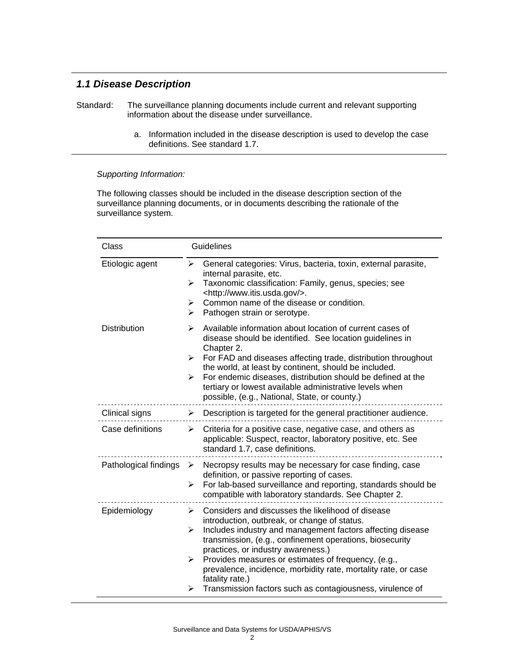## *1.1 Disease Description*

- Standard: The surveillance planning documents include current and relevant supporting information about the disease under surveillance.
	- a. Information included in the disease description is used to develop the case definitions. See standard 1.7.

### *Supporting Information:*

The following classes should be included in the disease description section of the surveillance planning documents, or in documents describing the rationale of the surveillance system.

| Class                 | Guidelines                                                                                                                                                                                                                                                                                                                                                                                                                                                                                                         |
|-----------------------|--------------------------------------------------------------------------------------------------------------------------------------------------------------------------------------------------------------------------------------------------------------------------------------------------------------------------------------------------------------------------------------------------------------------------------------------------------------------------------------------------------------------|
| Etiologic agent       | General categories: Virus, bacteria, toxin, external parasite,<br>➤<br>internal parasite, etc.<br>Taxonomic classification: Family, genus, species; see<br>➤<br><http: www.itis.usda.gov=""></http:> .<br>Common name of the disease or condition.<br>➤<br>➤<br>Pathogen strain or serotype.                                                                                                                                                                                                                       |
| <b>Distribution</b>   | Available information about location of current cases of<br>⋗<br>disease should be identified. See location guidelines in<br>Chapter 2.<br>For FAD and diseases affecting trade, distribution throughout<br>➤<br>the world, at least by continent, should be included.<br>For endemic diseases, distribution should be defined at the<br>➤<br>tertiary or lowest available administrative levels when<br>possible, (e.g., National, State, or county.)                                                             |
| Clinical signs        | Description is targeted for the general practitioner audience.<br>➤                                                                                                                                                                                                                                                                                                                                                                                                                                                |
| Case definitions      | Criteria for a positive case, negative case, and others as<br>➤<br>applicable: Suspect, reactor, laboratory positive, etc. See<br>standard 1.7, case definitions.                                                                                                                                                                                                                                                                                                                                                  |
| Pathological findings | Necropsy results may be necessary for case finding, case<br>➤<br>definition, or passive reporting of cases.<br>For lab-based surveillance and reporting, standards should be<br>➤<br>compatible with laboratory standards. See Chapter 2.                                                                                                                                                                                                                                                                          |
| Epidemiology          | Considers and discusses the likelihood of disease<br>➤<br>introduction, outbreak, or change of status.<br>Includes industry and management factors affecting disease<br>➤<br>transmission, (e.g., confinement operations, biosecurity<br>practices, or industry awareness.)<br>Provides measures or estimates of frequency, (e.g.,<br>$\blacktriangleright$<br>prevalence, incidence, morbidity rate, mortality rate, or case<br>fatality rate.)<br>Transmission factors such as contagiousness, virulence of<br>➤ |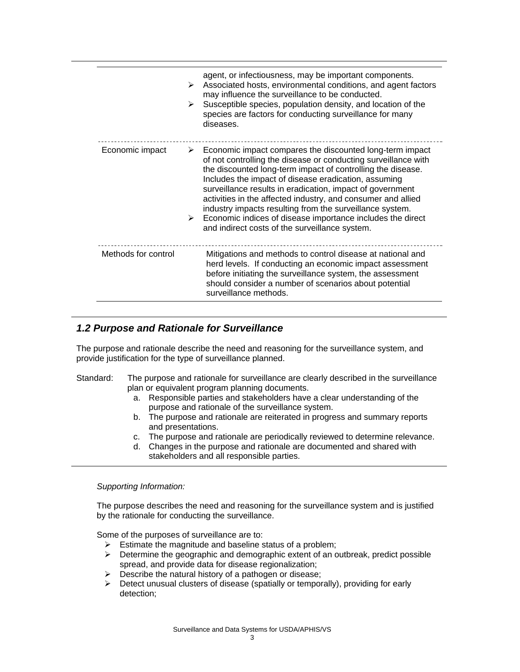|                     | ➤<br>➤ | agent, or infectiousness, may be important components.<br>Associated hosts, environmental conditions, and agent factors<br>may influence the surveillance to be conducted.<br>Susceptible species, population density, and location of the<br>species are factors for conducting surveillance for many<br>diseases.                                                                                                                                                                                                                                                         |
|---------------------|--------|-----------------------------------------------------------------------------------------------------------------------------------------------------------------------------------------------------------------------------------------------------------------------------------------------------------------------------------------------------------------------------------------------------------------------------------------------------------------------------------------------------------------------------------------------------------------------------|
| Economic impact     | ➤      | Economic impact compares the discounted long-term impact<br>of not controlling the disease or conducting surveillance with<br>the discounted long-term impact of controlling the disease.<br>Includes the impact of disease eradication, assuming<br>surveillance results in eradication, impact of government<br>activities in the affected industry, and consumer and allied<br>industry impacts resulting from the surveillance system.<br>$\triangleright$ Economic indices of disease importance includes the direct<br>and indirect costs of the surveillance system. |
| Methods for control |        | Mitigations and methods to control disease at national and<br>herd levels. If conducting an economic impact assessment<br>before initiating the surveillance system, the assessment<br>should consider a number of scenarios about potential<br>surveillance methods.                                                                                                                                                                                                                                                                                                       |

### *1.2 Purpose and Rationale for Surveillance*

The purpose and rationale describe the need and reasoning for the surveillance system, and provide justification for the type of surveillance planned.

### Standard: The purpose and rationale for surveillance are clearly described in the surveillance plan or equivalent program planning documents.

- a. Responsible parties and stakeholders have a clear understanding of the purpose and rationale of the surveillance system.
- b. The purpose and rationale are reiterated in progress and summary reports and presentations.
- c. The purpose and rationale are periodically reviewed to determine relevance.
- d. Changes in the purpose and rationale are documented and shared with stakeholders and all responsible parties.

#### *Supporting Information:*

The purpose describes the need and reasoning for the surveillance system and is justified by the rationale for conducting the surveillance.

Some of the purposes of surveillance are to:

- $\triangleright$  Estimate the magnitude and baseline status of a problem;
- $\triangleright$  Determine the geographic and demographic extent of an outbreak, predict possible spread, and provide data for disease regionalization;
- $\triangleright$  Describe the natural history of a pathogen or disease;
- $\triangleright$  Detect unusual clusters of disease (spatially or temporally), providing for early detection;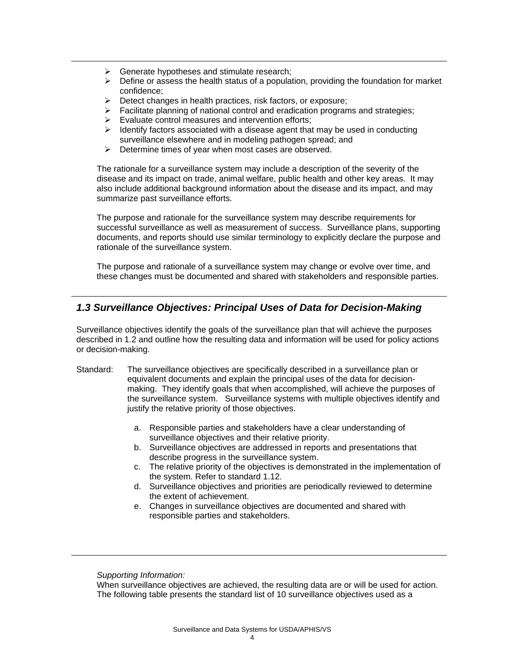- $\triangleright$  Generate hypotheses and stimulate research;
- $\triangleright$  Define or assess the health status of a population, providing the foundation for market confidence;
- $\triangleright$  Detect changes in health practices, risk factors, or exposure;
- $\triangleright$  Facilitate planning of national control and eradication programs and strategies;
- $\triangleright$  Evaluate control measures and intervention efforts;
- $\triangleright$  Identify factors associated with a disease agent that may be used in conducting surveillance elsewhere and in modeling pathogen spread; and
- $\triangleright$  Determine times of year when most cases are observed.

The rationale for a surveillance system may include a description of the severity of the disease and its impact on trade, animal welfare, public health and other key areas. It may also include additional background information about the disease and its impact, and may summarize past surveillance efforts.

The purpose and rationale for the surveillance system may describe requirements for successful surveillance as well as measurement of success. Surveillance plans, supporting documents, and reports should use similar terminology to explicitly declare the purpose and rationale of the surveillance system.

The purpose and rationale of a surveillance system may change or evolve over time, and these changes must be documented and shared with stakeholders and responsible parties.

## *1.3 Surveillance Objectives: Principal Uses of Data for Decision-Making*

Surveillance objectives identify the goals of the surveillance plan that will achieve the purposes described in 1.2 and outline how the resulting data and information will be used for policy actions or decision-making.

- Standard: The surveillance objectives are specifically described in a surveillance plan or equivalent documents and explain the principal uses of the data for decisionmaking. They identify goals that when accomplished, will achieve the purposes of the surveillance system. Surveillance systems with multiple objectives identify and justify the relative priority of those objectives.
	- a. Responsible parties and stakeholders have a clear understanding of surveillance objectives and their relative priority.
	- b. Surveillance objectives are addressed in reports and presentations that describe progress in the surveillance system.
	- c. The relative priority of the objectives is demonstrated in the implementation of the system. Refer to standard 1.12.
	- d. Surveillance objectives and priorities are periodically reviewed to determine the extent of achievement.
	- e. Changes in surveillance objectives are documented and shared with responsible parties and stakeholders.

*Supporting Information:* 

When surveillance objectives are achieved, the resulting data are or will be used for action. The following table presents the standard list of 10 surveillance objectives used as a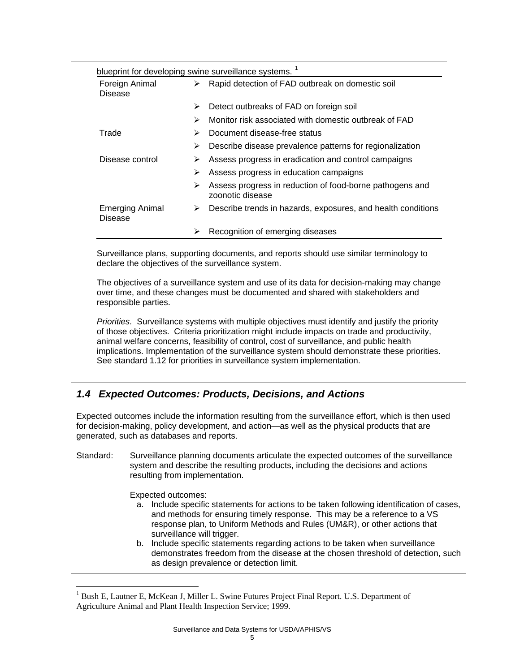|                                   |   | blueprint for developing swine surveillance systems. <sup>1</sup>            |
|-----------------------------------|---|------------------------------------------------------------------------------|
| Foreign Animal<br>➤<br>Disease    |   | Rapid detection of FAD outbreak on domestic soil                             |
|                                   | ➤ | Detect outbreaks of FAD on foreign soil                                      |
|                                   | ➤ | Monitor risk associated with domestic outbreak of FAD                        |
| Trade                             | ➤ | Document disease-free status                                                 |
|                                   | ⋗ | Describe disease prevalence patterns for regionalization                     |
| Disease control                   | ➤ | Assess progress in eradication and control campaigns                         |
|                                   | ⋗ | Assess progress in education campaigns                                       |
|                                   | ➤ | Assess progress in reduction of food-borne pathogens and<br>zoonotic disease |
| <b>Emerging Animal</b><br>Disease | ➤ | Describe trends in hazards, exposures, and health conditions                 |
|                                   | ⋗ | Recognition of emerging diseases                                             |

Surveillance plans, supporting documents, and reports should use similar terminology to declare the objectives of the surveillance system.

The objectives of a surveillance system and use of its data for decision-making may change over time, and these changes must be documented and shared with stakeholders and responsible parties.

*Priorities.* Surveillance systems with multiple objectives must identify and justify the priority of those objectives. Criteria prioritization might include impacts on trade and productivity, animal welfare concerns, feasibility of control, cost of surveillance, and public health implications. Implementation of the surveillance system should demonstrate these priorities. See standard 1.12 for priorities in surveillance system implementation.

## *1.4 Expected Outcomes: Products, Decisions, and Actions*

Expected outcomes include the information resulting from the surveillance effort, which is then used for decision-making, policy development, and action—as well as the physical products that are generated, such as databases and reports.

Standard: Surveillance planning documents articulate the expected outcomes of the surveillance system and describe the resulting products, including the decisions and actions resulting from implementation.

Expected outcomes:

 $\overline{a}$ 

- a. Include specific statements for actions to be taken following identification of cases, and methods for ensuring timely response. This may be a reference to a VS response plan, to Uniform Methods and Rules (UM&R), or other actions that surveillance will trigger.
- b. Include specific statements regarding actions to be taken when surveillance demonstrates freedom from the disease at the chosen threshold of detection, such as design prevalence or detection limit.

<span id="page-5-0"></span><sup>1</sup> Bush E, Lautner E, McKean J, Miller L. Swine Futures Project Final Report. U.S. Department of Agriculture Animal and Plant Health Inspection Service; 1999.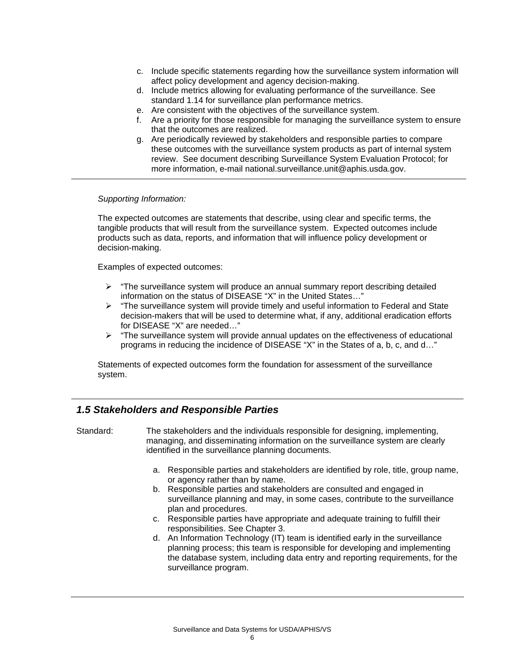- c. Include specific statements regarding how the surveillance system information will affect policy development and agency decision-making.
- d. Include metrics allowing for evaluating performance of the surveillance. See standard 1.14 for surveillance plan performance metrics.
- e. Are consistent with the objectives of the surveillance system.
- f. Are a priority for those responsible for managing the surveillance system to ensure that the outcomes are realized.
- g. Are periodically reviewed by stakeholders and responsible parties to compare these outcomes with the surveillance system products as part of internal system review. See document describing Surveillance System Evaluation Protocol; for more information, e-mail national.surveillance.unit@aphis.usda.gov.

The expected outcomes are statements that describe, using clear and specific terms, the tangible products that will result from the surveillance system. Expected outcomes include products such as data, reports, and information that will influence policy development or decision-making.

Examples of expected outcomes:

- $\triangleright$  "The surveillance system will produce an annual summary report describing detailed information on the status of DISEASE "X" in the United States…"
- $\triangleright$  "The surveillance system will provide timely and useful information to Federal and State decision-makers that will be used to determine what, if any, additional eradication efforts for DISEASE "X" are needed…"
- ¾ "The surveillance system will provide annual updates on the effectiveness of educational programs in reducing the incidence of DISEASE "X" in the States of a, b, c, and d…"

Statements of expected outcomes form the foundation for assessment of the surveillance system.

### *1.5 Stakeholders and Responsible Parties*

- Standard: The stakeholders and the individuals responsible for designing, implementing, managing, and disseminating information on the surveillance system are clearly identified in the surveillance planning documents.
	- a. Responsible parties and stakeholders are identified by role, title, group name, or agency rather than by name.
	- b. Responsible parties and stakeholders are consulted and engaged in surveillance planning and may, in some cases, contribute to the surveillance plan and procedures.
	- c. Responsible parties have appropriate and adequate training to fulfill their responsibilities. See Chapter 3.
	- d. An Information Technology (IT) team is identified early in the surveillance planning process; this team is responsible for developing and implementing the database system, including data entry and reporting requirements, for the surveillance program.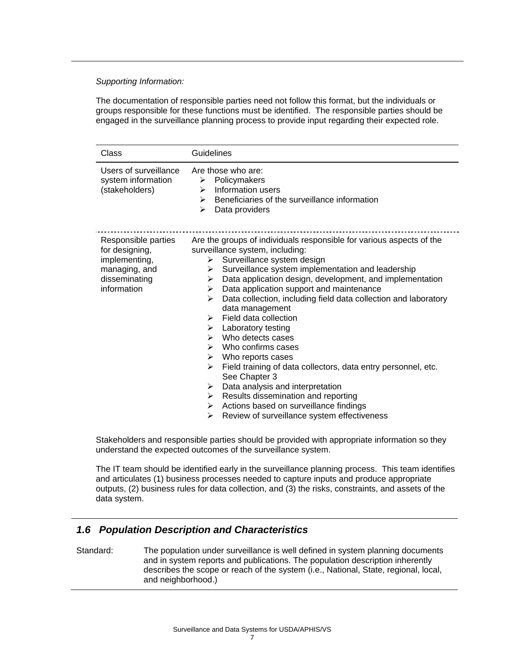The documentation of responsible parties need not follow this format, but the individuals or groups responsible for these functions must be identified. The responsible parties should be engaged in the surveillance planning process to provide input regarding their expected role.

| Class                                                                                                   | Guidelines                                                                                                                                                                                                                                                                                                                                                                                                                                                                                                                                                                                                                                                                                                                                                                                                                               |
|---------------------------------------------------------------------------------------------------------|------------------------------------------------------------------------------------------------------------------------------------------------------------------------------------------------------------------------------------------------------------------------------------------------------------------------------------------------------------------------------------------------------------------------------------------------------------------------------------------------------------------------------------------------------------------------------------------------------------------------------------------------------------------------------------------------------------------------------------------------------------------------------------------------------------------------------------------|
| Users of surveillance<br>system information<br>(stakeholders)                                           | Are those who are:<br>Policymakers<br>$\triangleright$<br>Information users<br>➤<br>Beneficiaries of the surveillance information<br>➤<br>≻<br>Data providers                                                                                                                                                                                                                                                                                                                                                                                                                                                                                                                                                                                                                                                                            |
| Responsible parties<br>for designing,<br>implementing,<br>managing, and<br>disseminating<br>information | Are the groups of individuals responsible for various aspects of the<br>surveillance system, including:<br>Surveillance system design<br>➤<br>Surveillance system implementation and leadership<br>➤<br>Data application design, development, and implementation<br>➤<br>Data application support and maintenance<br>➤<br>Data collection, including field data collection and laboratory<br>↘<br>data management<br>Field data collection<br>➤<br>Laboratory testing<br>➤<br>Who detects cases<br>➤<br>Who confirms cases<br>➤<br>Who reports cases<br>➤<br>➤<br>Field training of data collectors, data entry personnel, etc.<br>See Chapter 3<br>Data analysis and interpretation<br>➤<br>Results dissemination and reporting<br>➤<br>Actions based on surveillance findings<br>➤<br>Review of surveillance system effectiveness<br>➤ |

Stakeholders and responsible parties should be provided with appropriate information so they understand the expected outcomes of the surveillance system.

The IT team should be identified early in the surveillance planning process. This team identifies and articulates (1) business processes needed to capture inputs and produce appropriate outputs, (2) business rules for data collection, and (3) the risks, constraints, and assets of the data system.

### *1.6 Population Description and Characteristics*

Standard: The population under surveillance is well defined in system planning documents and in system reports and publications. The population description inherently describes the scope or reach of the system (i.e., National, State, regional, local, and neighborhood.)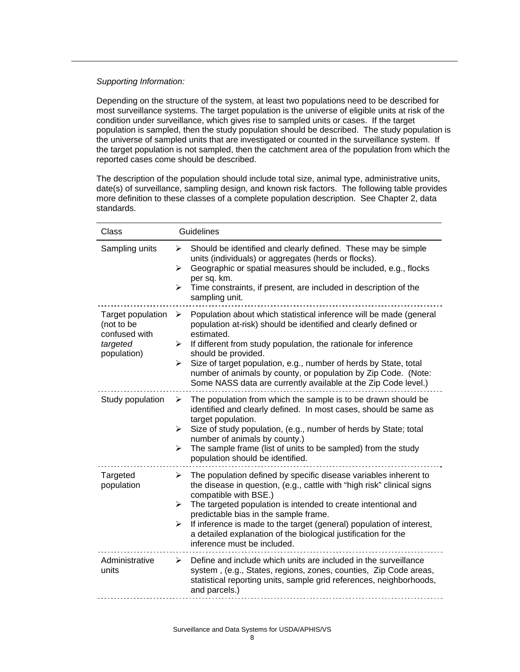Depending on the structure of the system, at least two populations need to be described for most surveillance systems. The target population is the universe of eligible units at risk of the condition under surveillance, which gives rise to sampled units or cases. If the target population is sampled, then the study population should be described. The study population is the universe of sampled units that are investigated or counted in the surveillance system. If the target population is not sampled, then the catchment area of the population from which the reported cases come should be described.

The description of the population should include total size, animal type, administrative units, date(s) of surveillance, sampling design, and known risk factors. The following table provides more definition to these classes of a complete population description. See Chapter 2, data standards.

| Class                                                                       | <b>Guidelines</b>                                                                                                                                                                                                                                                                                                                                                                                                                                                     |
|-----------------------------------------------------------------------------|-----------------------------------------------------------------------------------------------------------------------------------------------------------------------------------------------------------------------------------------------------------------------------------------------------------------------------------------------------------------------------------------------------------------------------------------------------------------------|
| Sampling units                                                              | Should be identified and clearly defined. These may be simple<br>➤<br>units (individuals) or aggregates (herds or flocks).<br>Geographic or spatial measures should be included, e.g., flocks<br>➤<br>per sq. km.<br>Time constraints, if present, are included in description of the<br>➤<br>sampling unit.                                                                                                                                                          |
| Target population<br>(not to be<br>confused with<br>targeted<br>population) | Population about which statistical inference will be made (general<br>➤<br>population at-risk) should be identified and clearly defined or<br>estimated.<br>If different from study population, the rationale for inference<br>➤<br>should be provided.<br>Size of target population, e.g., number of herds by State, total<br>➤<br>number of animals by county, or population by Zip Code. (Note:<br>Some NASS data are currently available at the Zip Code level.)  |
| Study population                                                            | The population from which the sample is to be drawn should be<br>➤<br>identified and clearly defined. In most cases, should be same as<br>target population.<br>Size of study population, (e.g., number of herds by State; total<br>➤<br>number of animals by county.)<br>The sample frame (list of units to be sampled) from the study<br>➤<br>population should be identified.                                                                                      |
| Targeted<br>population                                                      | The population defined by specific disease variables inherent to<br>➤<br>the disease in question, (e.g., cattle with "high risk" clinical signs<br>compatible with BSE.)<br>The targeted population is intended to create intentional and<br>≻<br>predictable bias in the sample frame.<br>If inference is made to the target (general) population of interest,<br>➤<br>a detailed explanation of the biological justification for the<br>inference must be included. |
| Administrative<br>units                                                     | Define and include which units are included in the surveillance<br>➤<br>system, (e.g., States, regions, zones, counties, Zip Code areas,<br>statistical reporting units, sample grid references, neighborhoods,<br>and parcels.)                                                                                                                                                                                                                                      |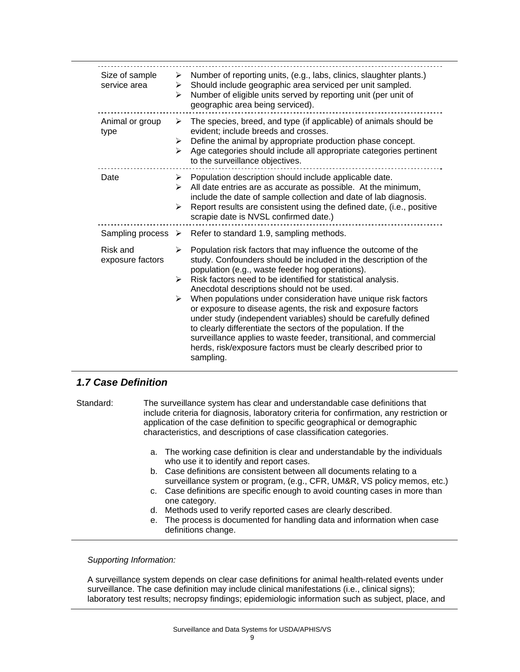| Size of sample<br>service area | Number of reporting units, (e.g., labs, clinics, slaughter plants.)<br>≻<br>Should include geographic area serviced per unit sampled.<br>≻<br>Number of eligible units served by reporting unit (per unit of<br>➤<br>geographic area being serviced).                                                                                                                                                                                                                                                                                                                                                                                                                                                                                                            |
|--------------------------------|------------------------------------------------------------------------------------------------------------------------------------------------------------------------------------------------------------------------------------------------------------------------------------------------------------------------------------------------------------------------------------------------------------------------------------------------------------------------------------------------------------------------------------------------------------------------------------------------------------------------------------------------------------------------------------------------------------------------------------------------------------------|
| Animal or group<br>type        | The species, breed, and type (if applicable) of animals should be<br>➤<br>evident; include breeds and crosses.<br>Define the animal by appropriate production phase concept.<br>➤<br>Age categories should include all appropriate categories pertinent<br>➤<br>to the surveillance objectives.                                                                                                                                                                                                                                                                                                                                                                                                                                                                  |
| Date                           | $\triangleright$ Population description should include applicable date.<br>All date entries are as accurate as possible. At the minimum,<br>➤<br>include the date of sample collection and date of lab diagnosis.<br>Report results are consistent using the defined date, (i.e., positive<br>➤<br>scrapie date is NVSL confirmed date.)                                                                                                                                                                                                                                                                                                                                                                                                                         |
|                                | Sampling process $\triangleright$ Refer to standard 1.9, sampling methods.                                                                                                                                                                                                                                                                                                                                                                                                                                                                                                                                                                                                                                                                                       |
| Risk and<br>exposure factors   | Population risk factors that may influence the outcome of the<br>➤<br>study. Confounders should be included in the description of the<br>population (e.g., waste feeder hog operations).<br>Risk factors need to be identified for statistical analysis.<br>$\blacktriangleright$<br>Anecdotal descriptions should not be used.<br>When populations under consideration have unique risk factors<br>➤<br>or exposure to disease agents, the risk and exposure factors<br>under study (independent variables) should be carefully defined<br>to clearly differentiate the sectors of the population. If the<br>surveillance applies to waste feeder, transitional, and commercial<br>herds, risk/exposure factors must be clearly described prior to<br>sampling. |

## *1.7 Case Definition*

Standard: The surveillance system has clear and understandable case definitions that include criteria for diagnosis, laboratory criteria for confirmation, any restriction or application of the case definition to specific geographical or demographic characteristics, and descriptions of case classification categories.

- a. The working case definition is clear and understandable by the individuals who use it to identify and report cases.
- b. Case definitions are consistent between all documents relating to a surveillance system or program, (e.g., CFR, UM&R, VS policy memos, etc.)
- c. Case definitions are specific enough to avoid counting cases in more than one category.
- d. Methods used to verify reported cases are clearly described.
- e. The process is documented for handling data and information when case definitions change.

*Supporting Information:* 

A surveillance system depends on clear case definitions for animal health-related events under surveillance. The case definition may include clinical manifestations (i.e., clinical signs); laboratory test results; necropsy findings; epidemiologic information such as subject, place, and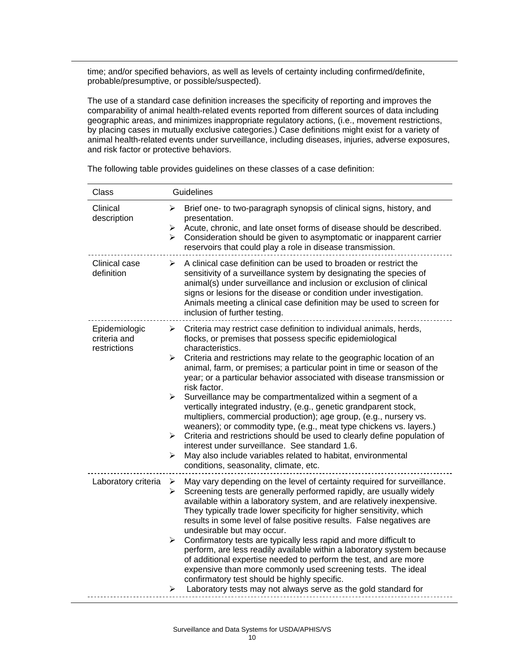time; and/or specified behaviors, as well as levels of certainty including confirmed/definite, probable/presumptive, or possible/suspected).

The use of a standard case definition increases the specificity of reporting and improves the comparability of animal health-related events reported from different sources of data including geographic areas, and minimizes inappropriate regulatory actions, (i.e., movement restrictions, by placing cases in mutually exclusive categories.) Case definitions might exist for a variety of animal health-related events under surveillance, including diseases, injuries, adverse exposures, and risk factor or protective behaviors.

| Class                                         | Guidelines                                                                                                                                                                                                                                                                                                                                                                                                                                                                                                                                                                                                                                                                                                                                                                                                                                                                                                                                                                          |
|-----------------------------------------------|-------------------------------------------------------------------------------------------------------------------------------------------------------------------------------------------------------------------------------------------------------------------------------------------------------------------------------------------------------------------------------------------------------------------------------------------------------------------------------------------------------------------------------------------------------------------------------------------------------------------------------------------------------------------------------------------------------------------------------------------------------------------------------------------------------------------------------------------------------------------------------------------------------------------------------------------------------------------------------------|
| Clinical<br>description                       | Brief one- to two-paragraph synopsis of clinical signs, history, and<br>➤<br>presentation.<br>Acute, chronic, and late onset forms of disease should be described.<br>➤<br>Consideration should be given to asymptomatic or inapparent carrier<br>➤<br>reservoirs that could play a role in disease transmission.                                                                                                                                                                                                                                                                                                                                                                                                                                                                                                                                                                                                                                                                   |
| Clinical case<br>definition                   | A clinical case definition can be used to broaden or restrict the<br>➤<br>sensitivity of a surveillance system by designating the species of<br>animal(s) under surveillance and inclusion or exclusion of clinical<br>signs or lesions for the disease or condition under investigation.<br>Animals meeting a clinical case definition may be used to screen for<br>inclusion of further testing.                                                                                                                                                                                                                                                                                                                                                                                                                                                                                                                                                                                  |
| Epidemiologic<br>criteria and<br>restrictions | $\triangleright$ Criteria may restrict case definition to individual animals, herds,<br>flocks, or premises that possess specific epidemiological<br>characteristics.<br>Criteria and restrictions may relate to the geographic location of an<br>➤<br>animal, farm, or premises; a particular point in time or season of the<br>year; or a particular behavior associated with disease transmission or<br>risk factor.<br>➤<br>Surveillance may be compartmentalized within a segment of a<br>vertically integrated industry, (e.g., genetic grandparent stock,<br>multipliers, commercial production); age group, (e.g., nursery vs.<br>weaners); or commodity type, (e.g., meat type chickens vs. layers.)<br>Criteria and restrictions should be used to clearly define population of<br>$\blacktriangleright$<br>interest under surveillance. See standard 1.6.<br>May also include variables related to habitat, environmental<br>➤<br>conditions, seasonality, climate, etc. |
| Laboratory criteria                           | May vary depending on the level of certainty required for surveillance.<br>➤<br>Screening tests are generally performed rapidly, are usually widely<br>➤<br>available within a laboratory system, and are relatively inexpensive.<br>They typically trade lower specificity for higher sensitivity, which<br>results in some level of false positive results. False negatives are<br>undesirable but may occur.<br>Confirmatory tests are typically less rapid and more difficult to<br>➤<br>perform, are less readily available within a laboratory system because<br>of additional expertise needed to perform the test, and are more<br>expensive than more commonly used screening tests. The ideal<br>confirmatory test should be highly specific.<br>Laboratory tests may not always serve as the gold standard for<br>➤                                                                                                                                                      |

The following table provides guidelines on these classes of a case definition: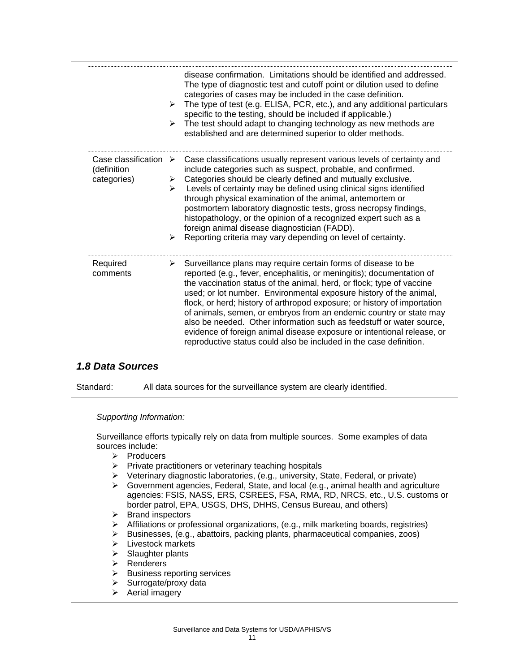|                                                                    | $\blacktriangleright$<br>≻      | disease confirmation. Limitations should be identified and addressed.<br>The type of diagnostic test and cutoff point or dilution used to define<br>categories of cases may be included in the case definition.<br>The type of test (e.g. ELISA, PCR, etc.), and any additional particulars<br>specific to the testing, should be included if applicable.)<br>The test should adapt to changing technology as new methods are<br>established and are determined superior to older methods.                                                                                                                                                                      |
|--------------------------------------------------------------------|---------------------------------|-----------------------------------------------------------------------------------------------------------------------------------------------------------------------------------------------------------------------------------------------------------------------------------------------------------------------------------------------------------------------------------------------------------------------------------------------------------------------------------------------------------------------------------------------------------------------------------------------------------------------------------------------------------------|
| Case classification $\triangleright$<br>(definition<br>categories) | ≻<br>$\blacktriangleright$<br>≻ | Case classifications usually represent various levels of certainty and<br>include categories such as suspect, probable, and confirmed.<br>Categories should be clearly defined and mutually exclusive.<br>Levels of certainty may be defined using clinical signs identified<br>through physical examination of the animal, antemortem or<br>postmortem laboratory diagnostic tests, gross necropsy findings,<br>histopathology, or the opinion of a recognized expert such as a<br>foreign animal disease diagnostician (FADD).<br>Reporting criteria may vary depending on level of certainty.                                                                |
| Required<br>comments                                               | ≻                               | Surveillance plans may require certain forms of disease to be<br>reported (e.g., fever, encephalitis, or meningitis); documentation of<br>the vaccination status of the animal, herd, or flock; type of vaccine<br>used; or lot number. Environmental exposure history of the animal,<br>flock, or herd; history of arthropod exposure; or history of importation<br>of animals, semen, or embryos from an endemic country or state may<br>also be needed. Other information such as feedstuff or water source,<br>evidence of foreign animal disease exposure or intentional release, or<br>reproductive status could also be included in the case definition. |

## *1.8 Data Sources*

Standard: All data sources for the surveillance system are clearly identified.

### *Supporting Information:*

Surveillance efforts typically rely on data from multiple sources. Some examples of data sources include:

- $\triangleright$  Producers
- $\triangleright$  Private practitioners or veterinary teaching hospitals
- ¾ Veterinary diagnostic laboratories, (e.g., university, State, Federal, or private)
- ¾ Government agencies, Federal, State, and local (e.g., animal health and agriculture agencies: FSIS, NASS, ERS, CSREES, FSA, RMA, RD, NRCS, etc., U.S. customs or border patrol, EPA, USGS, DHS, DHHS, Census Bureau, and others)
- $\triangleright$  Brand inspectors
- ¾ Affiliations or professional organizations, (e.g., milk marketing boards, registries)
- ¾ Businesses, (e.g., abattoirs, packing plants, pharmaceutical companies, zoos)
- $\triangleright$  Livestock markets
- $\triangleright$  Slaughter plants
- ¾ Renderers
- $\triangleright$  Business reporting services
- $\triangleright$  Surrogate/proxy data
- $\triangleright$  Aerial imagery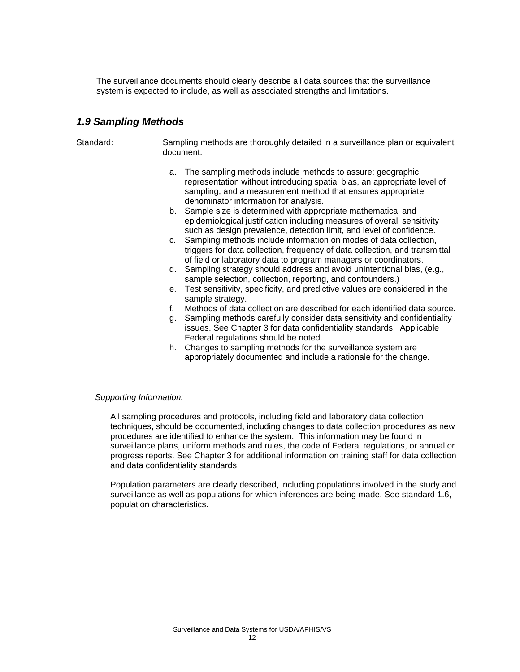The surveillance documents should clearly describe all data sources that the surveillance system is expected to include, as well as associated strengths and limitations.

### *1.9 Sampling Methods*

Standard: Sampling methods are thoroughly detailed in a surveillance plan or equivalent document.

- a. The sampling methods include methods to assure: geographic representation without introducing spatial bias, an appropriate level of sampling, and a measurement method that ensures appropriate denominator information for analysis.
- b. Sample size is determined with appropriate mathematical and epidemiological justification including measures of overall sensitivity such as design prevalence, detection limit, and level of confidence.
- c. Sampling methods include information on modes of data collection, triggers for data collection, frequency of data collection, and transmittal of field or laboratory data to program managers or coordinators.
- d. Sampling strategy should address and avoid unintentional bias, (e.g., sample selection, collection, reporting, and confounders.)
- e. Test sensitivity, specificity, and predictive values are considered in the sample strategy.
- f. Methods of data collection are described for each identified data source.
- g. Sampling methods carefully consider data sensitivity and confidentiality issues. See Chapter 3 for data confidentiality standards. Applicable Federal regulations should be noted.
- h. Changes to sampling methods for the surveillance system are appropriately documented and include a rationale for the change.

### *Supporting Information:*

All sampling procedures and protocols, including field and laboratory data collection techniques, should be documented, including changes to data collection procedures as new procedures are identified to enhance the system. This information may be found in surveillance plans, uniform methods and rules, the code of Federal regulations, or annual or progress reports. See Chapter 3 for additional information on training staff for data collection and data confidentiality standards.

Population parameters are clearly described, including populations involved in the study and surveillance as well as populations for which inferences are being made. See standard 1.6, population characteristics.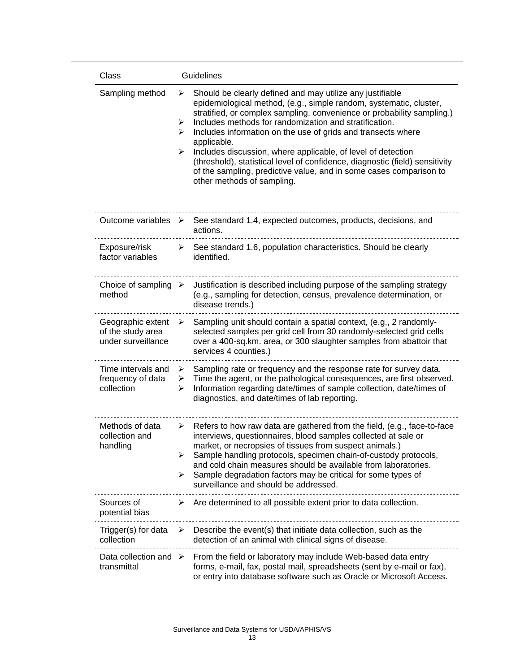| Class                                                        | Guidelines                                                                                                                                                                                                                                                                                                                                                                                                                                                                                                                                                                                                                 |
|--------------------------------------------------------------|----------------------------------------------------------------------------------------------------------------------------------------------------------------------------------------------------------------------------------------------------------------------------------------------------------------------------------------------------------------------------------------------------------------------------------------------------------------------------------------------------------------------------------------------------------------------------------------------------------------------------|
| Sampling method                                              | Should be clearly defined and may utilize any justifiable<br>➤<br>epidemiological method, (e.g., simple random, systematic, cluster,<br>stratified, or complex sampling, convenience or probability sampling.)<br>Includes methods for randomization and stratification.<br>➤<br>Includes information on the use of grids and transects where<br>➤<br>applicable.<br>Includes discussion, where applicable, of level of detection<br>➤<br>(threshold), statistical level of confidence, diagnostic (field) sensitivity<br>of the sampling, predictive value, and in some cases comparison to<br>other methods of sampling. |
| Outcome variables $\triangleright$                           | See standard 1.4, expected outcomes, products, decisions, and<br>actions.                                                                                                                                                                                                                                                                                                                                                                                                                                                                                                                                                  |
| Exposure/risk<br>factor variables                            | $\triangleright$ See standard 1.6, population characteristics. Should be clearly<br>identified.                                                                                                                                                                                                                                                                                                                                                                                                                                                                                                                            |
| Choice of sampling $\triangleright$<br>method                | Justification is described including purpose of the sampling strategy<br>(e.g., sampling for detection, census, prevalence determination, or<br>disease trends.)                                                                                                                                                                                                                                                                                                                                                                                                                                                           |
| Geographic extent<br>of the study area<br>under surveillance | Sampling unit should contain a spatial context, (e.g., 2 randomly-<br>➤<br>selected samples per grid cell from 30 randomly-selected grid cells<br>over a 400-sq.km. area, or 300 slaughter samples from abattoir that<br>services 4 counties.)                                                                                                                                                                                                                                                                                                                                                                             |
| Time intervals and<br>frequency of data<br>collection        | Sampling rate or frequency and the response rate for survey data.<br>➤<br>Time the agent, or the pathological consequences, are first observed.<br>➤<br>Information regarding date/times of sample collection, date/times of<br>➤<br>diagnostics, and date/times of lab reporting.                                                                                                                                                                                                                                                                                                                                         |
| Methods of data<br>collection and<br>handling                | Refers to how raw data are gathered from the field, (e.g., face-to-face<br>➤<br>interviews, questionnaires, blood samples collected at sale or<br>market, or necropsies of tissues from suspect animals.)<br>Sample handling protocols, specimen chain-of-custody protocols,<br>➤<br>and cold chain measures should be available from laboratories.<br>Sample degradation factors may be critical for some types of<br>➤<br>surveillance and should be addressed.                                                                                                                                                          |
| Sources of<br>potential bias                                 | Are determined to all possible extent prior to data collection.<br>➤                                                                                                                                                                                                                                                                                                                                                                                                                                                                                                                                                       |
| Trigger(s) for data<br>collection                            | Describe the event(s) that initiate data collection, such as the<br>➤<br>detection of an animal with clinical signs of disease.                                                                                                                                                                                                                                                                                                                                                                                                                                                                                            |
| Data collection and $\triangleright$<br>transmittal          | From the field or laboratory may include Web-based data entry<br>forms, e-mail, fax, postal mail, spreadsheets (sent by e-mail or fax),<br>or entry into database software such as Oracle or Microsoft Access.                                                                                                                                                                                                                                                                                                                                                                                                             |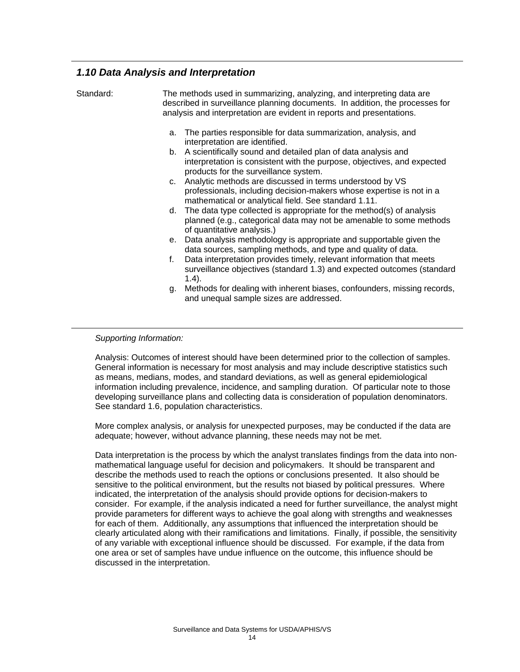### *1.10 Data Analysis and Interpretation*

| Standard: | The methods used in summarizing, analyzing, and interpreting data are<br>described in surveillance planning documents. In addition, the processes for<br>analysis and interpretation are evident in reports and presentations.                                                                                                                                                                                                                                                                                                                                                                                                                                                                                                                                                                                                                                                                                                                                                                                                                                                                                      |
|-----------|---------------------------------------------------------------------------------------------------------------------------------------------------------------------------------------------------------------------------------------------------------------------------------------------------------------------------------------------------------------------------------------------------------------------------------------------------------------------------------------------------------------------------------------------------------------------------------------------------------------------------------------------------------------------------------------------------------------------------------------------------------------------------------------------------------------------------------------------------------------------------------------------------------------------------------------------------------------------------------------------------------------------------------------------------------------------------------------------------------------------|
|           | The parties responsible for data summarization, analysis, and<br>a.<br>interpretation are identified.<br>b. A scientifically sound and detailed plan of data analysis and<br>interpretation is consistent with the purpose, objectives, and expected<br>products for the surveillance system.<br>c. Analytic methods are discussed in terms understood by VS<br>professionals, including decision-makers whose expertise is not in a<br>mathematical or analytical field. See standard 1.11.<br>d. The data type collected is appropriate for the method(s) of analysis<br>planned (e.g., categorical data may not be amenable to some methods<br>of quantitative analysis.)<br>e. Data analysis methodology is appropriate and supportable given the<br>data sources, sampling methods, and type and quality of data.<br>Data interpretation provides timely, relevant information that meets<br>f.<br>surveillance objectives (standard 1.3) and expected outcomes (standard<br>$1.4$ ).<br>g. Methods for dealing with inherent biases, confounders, missing records,<br>and unequal sample sizes are addressed. |

### *Supporting Information:*

Analysis: Outcomes of interest should have been determined prior to the collection of samples. General information is necessary for most analysis and may include descriptive statistics such as means, medians, modes, and standard deviations, as well as general epidemiological information including prevalence, incidence, and sampling duration. Of particular note to those developing surveillance plans and collecting data is consideration of population denominators. See standard 1.6, population characteristics.

More complex analysis, or analysis for unexpected purposes, may be conducted if the data are adequate; however, without advance planning, these needs may not be met.

Data interpretation is the process by which the analyst translates findings from the data into nonmathematical language useful for decision and policymakers. It should be transparent and describe the methods used to reach the options or conclusions presented. It also should be sensitive to the political environment, but the results not biased by political pressures. Where indicated, the interpretation of the analysis should provide options for decision-makers to consider. For example, if the analysis indicated a need for further surveillance, the analyst might provide parameters for different ways to achieve the goal along with strengths and weaknesses for each of them. Additionally, any assumptions that influenced the interpretation should be clearly articulated along with their ramifications and limitations. Finally, if possible, the sensitivity of any variable with exceptional influence should be discussed. For example, if the data from one area or set of samples have undue influence on the outcome, this influence should be discussed in the interpretation.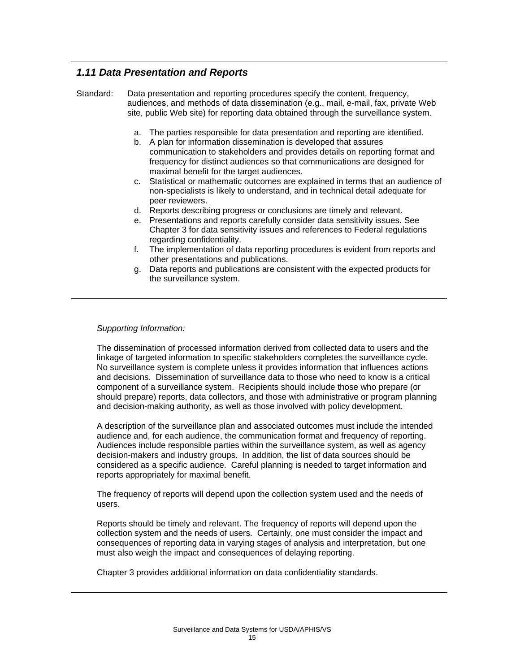## *1.11 Data Presentation and Reports*

Standard: Data presentation and reporting procedures specify the content, frequency, audiences, and methods of data dissemination (e.g., mail, e-mail, fax, private Web site, public Web site) for reporting data obtained through the surveillance system.

- a. The parties responsible for data presentation and reporting are identified.
- b. A plan for information dissemination is developed that assures communication to stakeholders and provides details on reporting format and frequency for distinct audiences so that communications are designed for maximal benefit for the target audiences.
- c. Statistical or mathematic outcomes are explained in terms that an audience of non-specialists is likely to understand, and in technical detail adequate for peer reviewers.
- d. Reports describing progress or conclusions are timely and relevant.
- e. Presentations and reports carefully consider data sensitivity issues. See Chapter 3 for data sensitivity issues and references to Federal regulations regarding confidentiality.
- f. The implementation of data reporting procedures is evident from reports and other presentations and publications.
- g. Data reports and publications are consistent with the expected products for the surveillance system.

### *Supporting Information:*

The dissemination of processed information derived from collected data to users and the linkage of targeted information to specific stakeholders completes the surveillance cycle. No surveillance system is complete unless it provides information that influences actions and decisions. Dissemination of surveillance data to those who need to know is a critical component of a surveillance system. Recipients should include those who prepare (or should prepare) reports, data collectors, and those with administrative or program planning and decision-making authority, as well as those involved with policy development.

A description of the surveillance plan and associated outcomes must include the intended audience and, for each audience, the communication format and frequency of reporting. Audiences include responsible parties within the surveillance system, as well as agency decision-makers and industry groups. In addition, the list of data sources should be considered as a specific audience. Careful planning is needed to target information and reports appropriately for maximal benefit.

The frequency of reports will depend upon the collection system used and the needs of users.

Reports should be timely and relevant. The frequency of reports will depend upon the collection system and the needs of users. Certainly, one must consider the impact and consequences of reporting data in varying stages of analysis and interpretation, but one must also weigh the impact and consequences of delaying reporting.

Chapter 3 provides additional information on data confidentiality standards.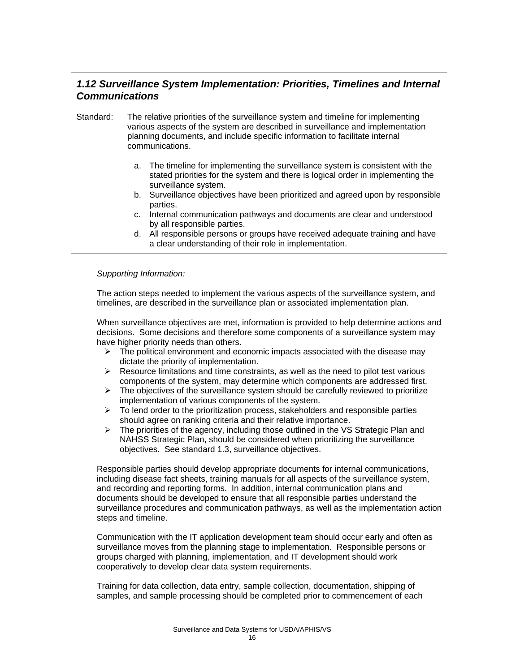## *1.12 Surveillance System Implementation: Priorities, Timelines and Internal Communications*

- Standard: The relative priorities of the surveillance system and timeline for implementing various aspects of the system are described in surveillance and implementation planning documents, and include specific information to facilitate internal communications.
	- a. The timeline for implementing the surveillance system is consistent with the stated priorities for the system and there is logical order in implementing the surveillance system.
	- b. Surveillance objectives have been prioritized and agreed upon by responsible parties.
	- c. Internal communication pathways and documents are clear and understood by all responsible parties.
	- d. All responsible persons or groups have received adequate training and have a clear understanding of their role in implementation.

### *Supporting Information:*

The action steps needed to implement the various aspects of the surveillance system, and timelines, are described in the surveillance plan or associated implementation plan.

When surveillance objectives are met, information is provided to help determine actions and decisions. Some decisions and therefore some components of a surveillance system may have higher priority needs than others.

- $\triangleright$  The political environment and economic impacts associated with the disease may dictate the priority of implementation.
- $\triangleright$  Resource limitations and time constraints, as well as the need to pilot test various components of the system, may determine which components are addressed first.
- $\triangleright$  The objectives of the surveillance system should be carefully reviewed to prioritize implementation of various components of the system.
- $\triangleright$  To lend order to the prioritization process, stakeholders and responsible parties should agree on ranking criteria and their relative importance.
- $\triangleright$  The priorities of the agency, including those outlined in the VS Strategic Plan and NAHSS Strategic Plan, should be considered when prioritizing the surveillance objectives. See standard 1.3, surveillance objectives.

Responsible parties should develop appropriate documents for internal communications, including disease fact sheets, training manuals for all aspects of the surveillance system, and recording and reporting forms. In addition, internal communication plans and documents should be developed to ensure that all responsible parties understand the surveillance procedures and communication pathways, as well as the implementation action steps and timeline.

Communication with the IT application development team should occur early and often as surveillance moves from the planning stage to implementation. Responsible persons or groups charged with planning, implementation, and IT development should work cooperatively to develop clear data system requirements.

Training for data collection, data entry, sample collection, documentation, shipping of samples, and sample processing should be completed prior to commencement of each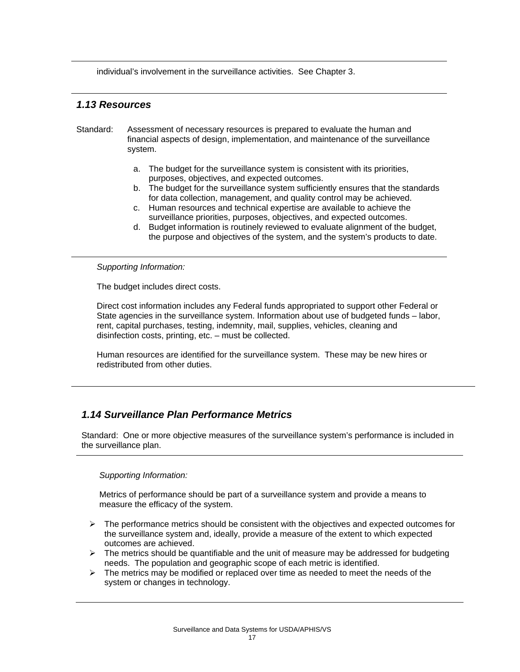individual's involvement in the surveillance activities. See Chapter 3.

### *1.13 Resources*

- Standard: Assessment of necessary resources is prepared to evaluate the human and financial aspects of design, implementation, and maintenance of the surveillance system.
	- a. The budget for the surveillance system is consistent with its priorities, purposes, objectives, and expected outcomes.
	- b. The budget for the surveillance system sufficiently ensures that the standards for data collection, management, and quality control may be achieved.
	- c. Human resources and technical expertise are available to achieve the surveillance priorities, purposes, objectives, and expected outcomes.
	- d. Budget information is routinely reviewed to evaluate alignment of the budget, the purpose and objectives of the system, and the system's products to date.

*Supporting Information:* 

The budget includes direct costs.

Direct cost information includes any Federal funds appropriated to support other Federal or State agencies in the surveillance system. Information about use of budgeted funds – labor, rent, capital purchases, testing, indemnity, mail, supplies, vehicles, cleaning and disinfection costs, printing, etc. – must be collected.

Human resources are identified for the surveillance system. These may be new hires or redistributed from other duties.

## *1.14 Surveillance Plan Performance Metrics*

Standard: One or more objective measures of the surveillance system's performance is included in the surveillance plan.

### *Supporting Information:*

Metrics of performance should be part of a surveillance system and provide a means to measure the efficacy of the system.

- $\triangleright$  The performance metrics should be consistent with the objectives and expected outcomes for the surveillance system and, ideally, provide a measure of the extent to which expected outcomes are achieved.
- $\triangleright$  The metrics should be quantifiable and the unit of measure may be addressed for budgeting needs. The population and geographic scope of each metric is identified.
- $\triangleright$  The metrics may be modified or replaced over time as needed to meet the needs of the system or changes in technology.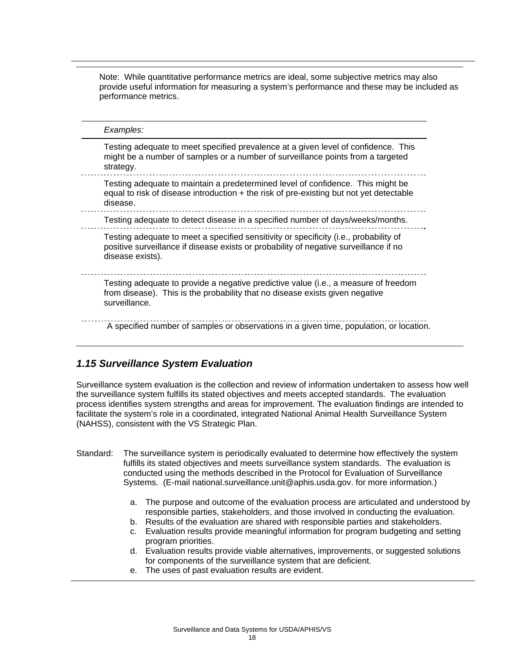Note: While quantitative performance metrics are ideal, some subjective metrics may also provide useful information for measuring a system's performance and these may be included as performance metrics.

*Examples:*  Testing adequate to meet specified prevalence at a given level of confidence. This might be a number of samples or a number of surveillance points from a targeted strategy. Testing adequate to maintain a predetermined level of confidence. This might be equal to risk of disease introduction  $+$  the risk of pre-existing but not yet detectable disease. Testing adequate to detect disease in a specified number of days/weeks/months. Testing adequate to meet a specified sensitivity or specificity (i.e., probability of positive surveillance if disease exists or probability of negative surveillance if no disease exists). Testing adequate to provide a negative predictive value (i.e., a measure of freedom from disease). This is the probability that no disease exists given negative surveillance. A specified number of samples or observations in a given time, population, or location.

## *1.15 Surveillance System Evaluation*

Surveillance system evaluation is the collection and review of information undertaken to assess how well the surveillance system fulfills its stated objectives and meets accepted standards. The evaluation process identifies system strengths and areas for improvement. The evaluation findings are intended to facilitate the system's role in a coordinated, integrated National Animal Health Surveillance System (NAHSS), consistent with the VS Strategic Plan.

- Standard: The surveillance system is periodically evaluated to determine how effectively the system fulfills its stated objectives and meets surveillance system standards. The evaluation is conducted using the methods described in the Protocol for Evaluation of Surveillance Systems. (E-mail national.surveillance.unit@aphis.usda.gov. for more information.)
	- a. The purpose and outcome of the evaluation process are articulated and understood by responsible parties, stakeholders, and those involved in conducting the evaluation.
	- b. Results of the evaluation are shared with responsible parties and stakeholders.
	- c. Evaluation results provide meaningful information for program budgeting and setting program priorities.
	- d. Evaluation results provide viable alternatives, improvements, or suggested solutions for components of the surveillance system that are deficient.
	- e. The uses of past evaluation results are evident.